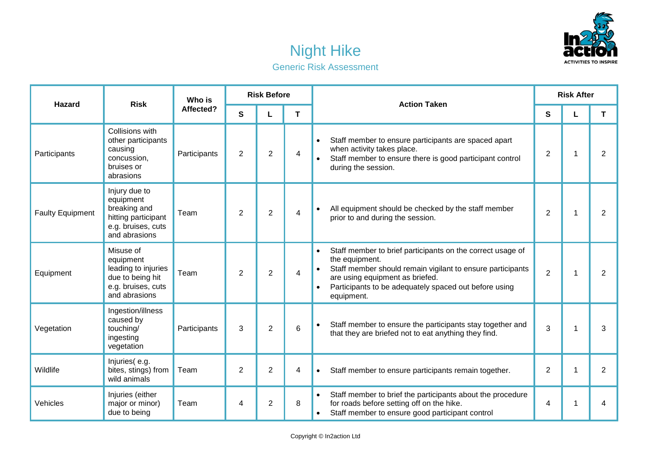

## Night Hike Generic Risk Assessment

| <b>Hazard</b>           | <b>Risk</b>                                                                                              | Who is<br>Affected? | <b>Risk Before</b> |                |   | <b>Action Taken</b>                                                                                                                                                                                                                                                            | <b>Risk After</b> |   |                |  |
|-------------------------|----------------------------------------------------------------------------------------------------------|---------------------|--------------------|----------------|---|--------------------------------------------------------------------------------------------------------------------------------------------------------------------------------------------------------------------------------------------------------------------------------|-------------------|---|----------------|--|
|                         |                                                                                                          |                     | S                  | L              | T |                                                                                                                                                                                                                                                                                | S                 | L | T              |  |
| Participants            | Collisions with<br>other participants<br>causing<br>concussion,<br>bruises or<br>abrasions               | Participants        | $\overline{2}$     | $\overline{2}$ | 4 | Staff member to ensure participants are spaced apart<br>$\bullet$<br>when activity takes place.<br>Staff member to ensure there is good participant control<br>during the session.                                                                                             | $\overline{2}$    | 1 | $\overline{2}$ |  |
| <b>Faulty Equipment</b> | Injury due to<br>equipment<br>breaking and<br>hitting participant<br>e.g. bruises, cuts<br>and abrasions | Team                | 2                  | $\overline{2}$ | 4 | All equipment should be checked by the staff member<br>$\bullet$<br>prior to and during the session.                                                                                                                                                                           | $\overline{2}$    | 1 | $\overline{2}$ |  |
| Equipment               | Misuse of<br>equipment<br>leading to injuries<br>due to being hit<br>e.g. bruises, cuts<br>and abrasions | Team                | $\overline{2}$     | $\overline{2}$ | 4 | Staff member to brief participants on the correct usage of<br>$\bullet$<br>the equipment.<br>Staff member should remain vigilant to ensure participants<br>are using equipment as briefed.<br>Participants to be adequately spaced out before using<br>$\bullet$<br>equipment. | $\overline{2}$    | 1 | $\overline{2}$ |  |
| Vegetation              | Ingestion/illness<br>caused by<br>touching/<br>ingesting<br>vegetation                                   | Participants        | 3                  | $\overline{2}$ | 6 | Staff member to ensure the participants stay together and<br>$\bullet$<br>that they are briefed not to eat anything they find.                                                                                                                                                 | 3                 | 1 | 3              |  |
| Wildlife                | Injuries(e.g.<br>bites, stings) from<br>wild animals                                                     | Team                | $\overline{2}$     | $\overline{c}$ | 4 | Staff member to ensure participants remain together.                                                                                                                                                                                                                           | $\overline{2}$    | 1 | $\overline{2}$ |  |
| Vehicles                | Injuries (either<br>major or minor)<br>due to being                                                      | Team                | 4                  | $\overline{2}$ | 8 | Staff member to brief the participants about the procedure<br>for roads before setting off on the hike.<br>Staff member to ensure good participant control                                                                                                                     | 4                 | 1 | 4              |  |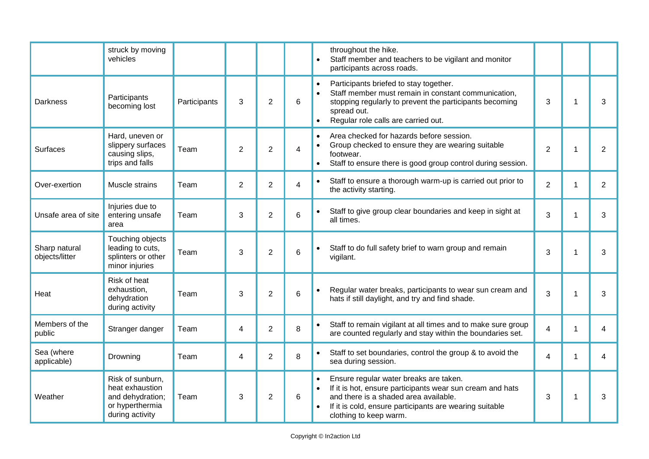|                                 | struck by moving<br>vehicles                                                                  |              |                |                |   | throughout the hike.<br>Staff member and teachers to be vigilant and monitor<br>participants across roads.                                                                                                                                            |                         |              |                |
|---------------------------------|-----------------------------------------------------------------------------------------------|--------------|----------------|----------------|---|-------------------------------------------------------------------------------------------------------------------------------------------------------------------------------------------------------------------------------------------------------|-------------------------|--------------|----------------|
| <b>Darkness</b>                 | Participants<br>becoming lost                                                                 | Participants | 3              | $\overline{2}$ | 6 | Participants briefed to stay together.<br>$\bullet$<br>Staff member must remain in constant communication,<br>$\bullet$<br>stopping regularly to prevent the participants becoming<br>spread out.<br>Regular role calls are carried out.<br>$\bullet$ | 3                       | $\mathbf 1$  | 3              |
| <b>Surfaces</b>                 | Hard, uneven or<br>slippery surfaces<br>causing slips,<br>trips and falls                     | Team         | 2              | $\overline{2}$ | 4 | Area checked for hazards before session.<br>$\bullet$<br>Group checked to ensure they are wearing suitable<br>footwear.<br>Staff to ensure there is good group control during session.                                                                | $\overline{2}$          | $\mathbf{1}$ | $\overline{2}$ |
| Over-exertion                   | Muscle strains                                                                                | Team         | $\overline{2}$ | $\overline{2}$ | 4 | Staff to ensure a thorough warm-up is carried out prior to<br>$\bullet$<br>the activity starting.                                                                                                                                                     | $\overline{2}$          | 1            | $\overline{2}$ |
| Unsafe area of site             | Injuries due to<br>entering unsafe<br>area                                                    | Team         | 3              | $\overline{2}$ | 6 | Staff to give group clear boundaries and keep in sight at<br>all times.                                                                                                                                                                               | 3                       | $\mathbf 1$  | 3              |
| Sharp natural<br>objects/litter | Touching objects<br>leading to cuts,<br>splinters or other<br>minor injuries                  | Team         | 3              | $\overline{2}$ | 6 | Staff to do full safety brief to warn group and remain<br>vigilant.                                                                                                                                                                                   | 3                       | $\mathbf 1$  | 3              |
| Heat                            | Risk of heat<br>exhaustion,<br>dehydration<br>during activity                                 | Team         | 3              | $\overline{2}$ | 6 | Regular water breaks, participants to wear sun cream and<br>$\bullet$<br>hats if still daylight, and try and find shade.                                                                                                                              | 3                       | $\mathbf 1$  | 3              |
| Members of the<br>public        | Stranger danger                                                                               | Team         | 4              | $\overline{2}$ | 8 | Staff to remain vigilant at all times and to make sure group<br>$\bullet$<br>are counted regularly and stay within the boundaries set.                                                                                                                | $\overline{\mathbf{4}}$ | 1            | 4              |
| Sea (where<br>applicable)       | Drowning                                                                                      | Team         | 4              | $\overline{2}$ | 8 | Staff to set boundaries, control the group & to avoid the<br>sea during session.                                                                                                                                                                      | 4                       | $\mathbf 1$  | 4              |
| Weather                         | Risk of sunburn,<br>heat exhaustion<br>and dehydration;<br>or hyperthermia<br>during activity | Team         | 3              | $\overline{2}$ | 6 | Ensure regular water breaks are taken.<br>$\bullet$<br>If it is hot, ensure participants wear sun cream and hats<br>and there is a shaded area available.<br>If it is cold, ensure participants are wearing suitable<br>clothing to keep warm.        | 3                       | $\mathbf 1$  | 3              |